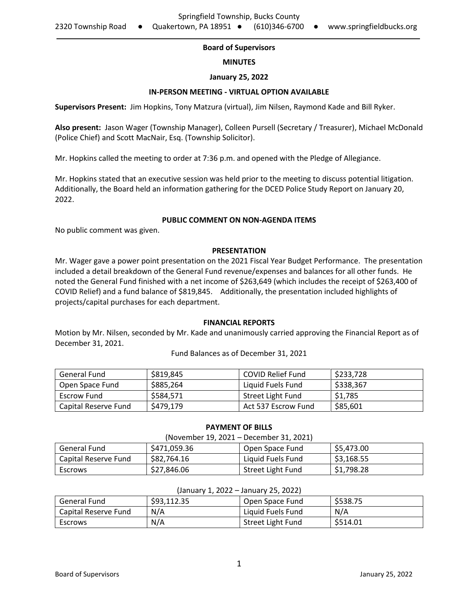# **Board of Supervisors**

#### **MINUTES**

## **January 25, 2022**

## **IN-PERSON MEETING - VIRTUAL OPTION AVAILABLE**

**Supervisors Present:** Jim Hopkins, Tony Matzura (virtual), Jim Nilsen, Raymond Kade and Bill Ryker.

**Also present:** Jason Wager (Township Manager), Colleen Pursell (Secretary / Treasurer), Michael McDonald (Police Chief) and Scott MacNair, Esq. (Township Solicitor).

Mr. Hopkins called the meeting to order at 7:36 p.m. and opened with the Pledge of Allegiance.

Mr. Hopkins stated that an executive session was held prior to the meeting to discuss potential litigation. Additionally, the Board held an information gathering for the DCED Police Study Report on January 20, 2022.

#### **PUBLIC COMMENT ON NON-AGENDA ITEMS**

No public comment was given.

#### **PRESENTATION**

Mr. Wager gave a power point presentation on the 2021 Fiscal Year Budget Performance. The presentation included a detail breakdown of the General Fund revenue/expenses and balances for all other funds. He noted the General Fund finished with a net income of \$263,649 (which includes the receipt of \$263,400 of COVID Relief) and a fund balance of \$819,845. Additionally, the presentation included highlights of projects/capital purchases for each department.

#### **FINANCIAL REPORTS**

Motion by Mr. Nilsen, seconded by Mr. Kade and unanimously carried approving the Financial Report as of December 31, 2021.

Fund Balances as of December 31, 2021

| General Fund         | \$819,845 | <b>COVID Relief Fund</b> | \$233,728 |
|----------------------|-----------|--------------------------|-----------|
| Open Space Fund      | \$885.264 | Liquid Fuels Fund        | \$338,367 |
| Escrow Fund          | \$584.571 | Street Light Fund        | \$1,785   |
| Capital Reserve Fund | \$479,179 | Act 537 Escrow Fund      | \$85,601  |

| (November 19, 2021 – December 31, 2021) |              |                   |            |  |  |
|-----------------------------------------|--------------|-------------------|------------|--|--|
| General Fund                            | \$471.059.36 | Open Space Fund   | \$5,473.00 |  |  |
| Capital Reserve Fund                    | \$82,764.16  | Liquid Fuels Fund | \$3,168.55 |  |  |
| Escrows                                 | \$27,846.06  | Street Light Fund | \$1,798.28 |  |  |

**PAYMENT OF BILLS**

| (Jahual V 1, 2022 – Jahual V 2J, 2022) |             |                   |          |  |  |
|----------------------------------------|-------------|-------------------|----------|--|--|
| General Fund                           | \$93,112.35 | Open Space Fund   | \$538.75 |  |  |
| Capital Reserve Fund                   | N/A         | Liquid Fuels Fund | N/A      |  |  |
| Escrows                                | N/A         | Street Light Fund | \$514.01 |  |  |

#### (January 1, 2022 – January 25, 2022)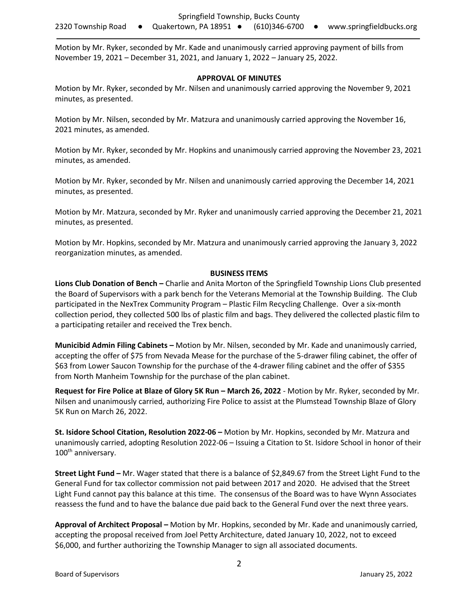Motion by Mr. Ryker, seconded by Mr. Kade and unanimously carried approving payment of bills from November 19, 2021 – December 31, 2021, and January 1, 2022 – January 25, 2022.

## **APPROVAL OF MINUTES**

Motion by Mr. Ryker, seconded by Mr. Nilsen and unanimously carried approving the November 9, 2021 minutes, as presented.

Motion by Mr. Nilsen, seconded by Mr. Matzura and unanimously carried approving the November 16, 2021 minutes, as amended.

Motion by Mr. Ryker, seconded by Mr. Hopkins and unanimously carried approving the November 23, 2021 minutes, as amended.

Motion by Mr. Ryker, seconded by Mr. Nilsen and unanimously carried approving the December 14, 2021 minutes, as presented.

Motion by Mr. Matzura, seconded by Mr. Ryker and unanimously carried approving the December 21, 2021 minutes, as presented.

Motion by Mr. Hopkins, seconded by Mr. Matzura and unanimously carried approving the January 3, 2022 reorganization minutes, as amended.

# **BUSINESS ITEMS**

**Lions Club Donation of Bench –** Charlie and Anita Morton of the Springfield Township Lions Club presented the Board of Supervisors with a park bench for the Veterans Memorial at the Township Building. The Club participated in the NexTrex Community Program – Plastic Film Recycling Challenge. Over a six-month collection period, they collected 500 lbs of plastic film and bags. They delivered the collected plastic film to a participating retailer and received the Trex bench.

**Municibid Admin Filing Cabinets –** Motion by Mr. Nilsen, seconded by Mr. Kade and unanimously carried, accepting the offer of \$75 from Nevada Mease for the purchase of the 5-drawer filing cabinet, the offer of \$63 from Lower Saucon Township for the purchase of the 4-drawer filing cabinet and the offer of \$355 from North Manheim Township for the purchase of the plan cabinet.

**Request for Fire Police at Blaze of Glory 5K Run – March 26, 2022 - Motion by Mr. Ryker, seconded by Mr.** Nilsen and unanimously carried, authorizing Fire Police to assist at the Plumstead Township Blaze of Glory 5K Run on March 26, 2022.

**St. Isidore School Citation, Resolution 2022-06 –** Motion by Mr. Hopkins, seconded by Mr. Matzura and unanimously carried, adopting Resolution 2022-06 – Issuing a Citation to St. Isidore School in honor of their 100<sup>th</sup> anniversary.

**Street Light Fund –** Mr. Wager stated that there is a balance of \$2,849.67 from the Street Light Fund to the General Fund for tax collector commission not paid between 2017 and 2020. He advised that the Street Light Fund cannot pay this balance at this time. The consensus of the Board was to have Wynn Associates reassess the fund and to have the balance due paid back to the General Fund over the next three years.

**Approval of Architect Proposal –** Motion by Mr. Hopkins, seconded by Mr. Kade and unanimously carried, accepting the proposal received from Joel Petty Architecture, dated January 10, 2022, not to exceed \$6,000, and further authorizing the Township Manager to sign all associated documents.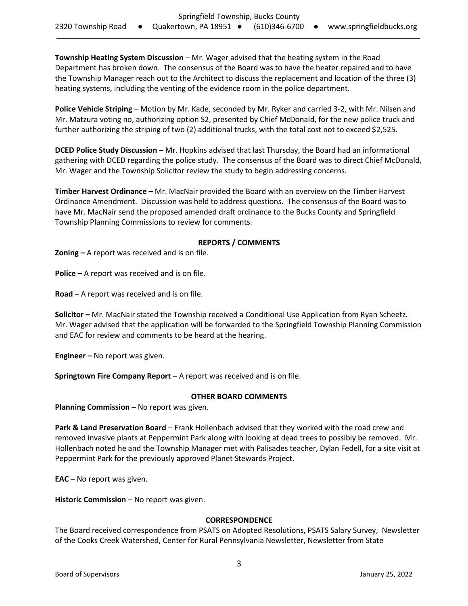**Township Heating System Discussion** – Mr. Wager advised that the heating system in the Road Department has broken down. The consensus of the Board was to have the heater repaired and to have the Township Manager reach out to the Architect to discuss the replacement and location of the three (3) heating systems, including the venting of the evidence room in the police department.

**Police Vehicle Striping** – Motion by Mr. Kade, seconded by Mr. Ryker and carried 3-2, with Mr. Nilsen and Mr. Matzura voting no, authorizing option S2, presented by Chief McDonald, for the new police truck and further authorizing the striping of two (2) additional trucks, with the total cost not to exceed \$2,525.

**DCED Police Study Discussion –** Mr. Hopkins advised that last Thursday, the Board had an informational gathering with DCED regarding the police study. The consensus of the Board was to direct Chief McDonald, Mr. Wager and the Township Solicitor review the study to begin addressing concerns.

**Timber Harvest Ordinance –** Mr. MacNair provided the Board with an overview on the Timber Harvest Ordinance Amendment. Discussion was held to address questions. The consensus of the Board was to have Mr. MacNair send the proposed amended draft ordinance to the Bucks County and Springfield Township Planning Commissions to review for comments.

# **REPORTS / COMMENTS**

**Zoning –** A report was received and is on file.

**Police –** A report was received and is on file.

**Road –** A report was received and is on file.

**Solicitor –** Mr. MacNair stated the Township received a Conditional Use Application from Ryan Scheetz. Mr. Wager advised that the application will be forwarded to the Springfield Township Planning Commission and EAC for review and comments to be heard at the hearing.

**Engineer –** No report was given.

**Springtown Fire Company Report –** A report was received and is on file.

# **OTHER BOARD COMMENTS**

**Planning Commission - No report was given.** 

**Park & Land Preservation Board** – Frank Hollenbach advised that they worked with the road crew and removed invasive plants at Peppermint Park along with looking at dead trees to possibly be removed. Mr. Hollenbach noted he and the Township Manager met with Palisades teacher, Dylan Fedell, for a site visit at Peppermint Park for the previously approved Planet Stewards Project.

**EAC –** No report was given.

**Historic Commission** – No report was given.

#### **CORRESPONDENCE**

The Board received correspondence from PSATS on Adopted Resolutions, PSATS Salary Survey, Newsletter of the Cooks Creek Watershed, Center for Rural Pennsylvania Newsletter, Newsletter from State